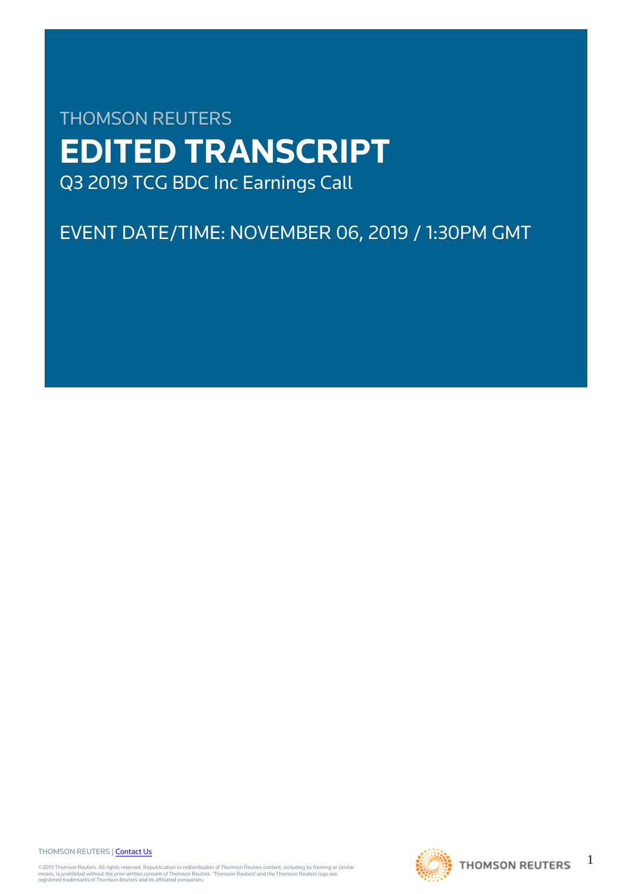# THOMSON REUTERS **EDITED TRANSCRIPT** Q3 2019 TCG BDC Inc Earnings Call

EVENT DATE/TIME: NOVEMBER 06, 2019 / 1:30PM GMT

THOMSON REUTERS | [Contact Us](https://my.thomsonreuters.com/ContactUsNew)

©2019 Thomson Reuters. All rights reserved. Republication or redistribution of Thomson Reuters content, including by framing or similar<br>means, is prohibited without the prior written consent of Thomson Reuters. "Thomson Re



1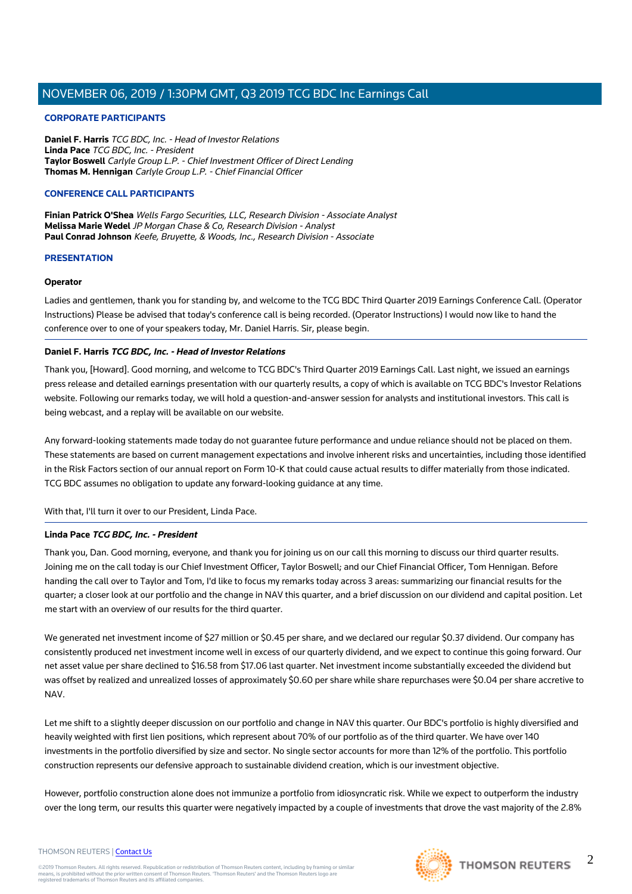#### **CORPORATE PARTICIPANTS**

**Daniel F. Harris** TCG BDC, Inc. - Head of Investor Relations **Linda Pace** TCG BDC, Inc. - President **Taylor Boswell** Carlyle Group L.P. - Chief Investment Officer of Direct Lending **Thomas M. Hennigan** Carlyle Group L.P. - Chief Financial Officer

#### **CONFERENCE CALL PARTICIPANTS**

**Finian Patrick O'Shea** Wells Fargo Securities, LLC, Research Division - Associate Analyst **Melissa Marie Wedel** JP Morgan Chase & Co, Research Division - Analyst **Paul Conrad Johnson** Keefe, Bruyette, & Woods, Inc., Research Division - Associate

#### **PRESENTATION**

#### **Operator**

Ladies and gentlemen, thank you for standing by, and welcome to the TCG BDC Third Quarter 2019 Earnings Conference Call. (Operator Instructions) Please be advised that today's conference call is being recorded. (Operator Instructions) I would now like to hand the conference over to one of your speakers today, Mr. Daniel Harris. Sir, please begin.

#### **Daniel F. Harris TCG BDC, Inc. - Head of Investor Relations**

Thank you, [Howard]. Good morning, and welcome to TCG BDC's Third Quarter 2019 Earnings Call. Last night, we issued an earnings press release and detailed earnings presentation with our quarterly results, a copy of which is available on TCG BDC's Investor Relations website. Following our remarks today, we will hold a question-and-answer session for analysts and institutional investors. This call is being webcast, and a replay will be available on our website.

Any forward-looking statements made today do not guarantee future performance and undue reliance should not be placed on them. These statements are based on current management expectations and involve inherent risks and uncertainties, including those identified in the Risk Factors section of our annual report on Form 10-K that could cause actual results to differ materially from those indicated. TCG BDC assumes no obligation to update any forward-looking guidance at any time.

With that, I'll turn it over to our President, Linda Pace.

## **Linda Pace TCG BDC, Inc. - President**

Thank you, Dan. Good morning, everyone, and thank you for joining us on our call this morning to discuss our third quarter results. Joining me on the call today is our Chief Investment Officer, Taylor Boswell; and our Chief Financial Officer, Tom Hennigan. Before handing the call over to Taylor and Tom, I'd like to focus my remarks today across 3 areas: summarizing our financial results for the quarter; a closer look at our portfolio and the change in NAV this quarter, and a brief discussion on our dividend and capital position. Let me start with an overview of our results for the third quarter.

We generated net investment income of \$27 million or \$0.45 per share, and we declared our regular \$0.37 dividend. Our company has consistently produced net investment income well in excess of our quarterly dividend, and we expect to continue this going forward. Our net asset value per share declined to \$16.58 from \$17.06 last quarter. Net investment income substantially exceeded the dividend but was offset by realized and unrealized losses of approximately \$0.60 per share while share repurchases were \$0.04 per share accretive to NAV.

Let me shift to a slightly deeper discussion on our portfolio and change in NAV this quarter. Our BDC's portfolio is highly diversified and heavily weighted with first lien positions, which represent about 70% of our portfolio as of the third quarter. We have over 140 investments in the portfolio diversified by size and sector. No single sector accounts for more than 12% of the portfolio. This portfolio construction represents our defensive approach to sustainable dividend creation, which is our investment objective.

However, portfolio construction alone does not immunize a portfolio from idiosyncratic risk. While we expect to outperform the industry over the long term, our results this quarter were negatively impacted by a couple of investments that drove the vast majority of the 2.8%

#### THOMSON REUTERS | [Contact Us](https://my.thomsonreuters.com/ContactUsNew)

©2019 Thomson Reuters. All rights reserved. Republication or redistribution of Thomson Reuters content, including by framing or similar<br>means, is prohibited without the prior written consent of Thomson Reuters. "Thomson Re



 $\mathfrak{D}$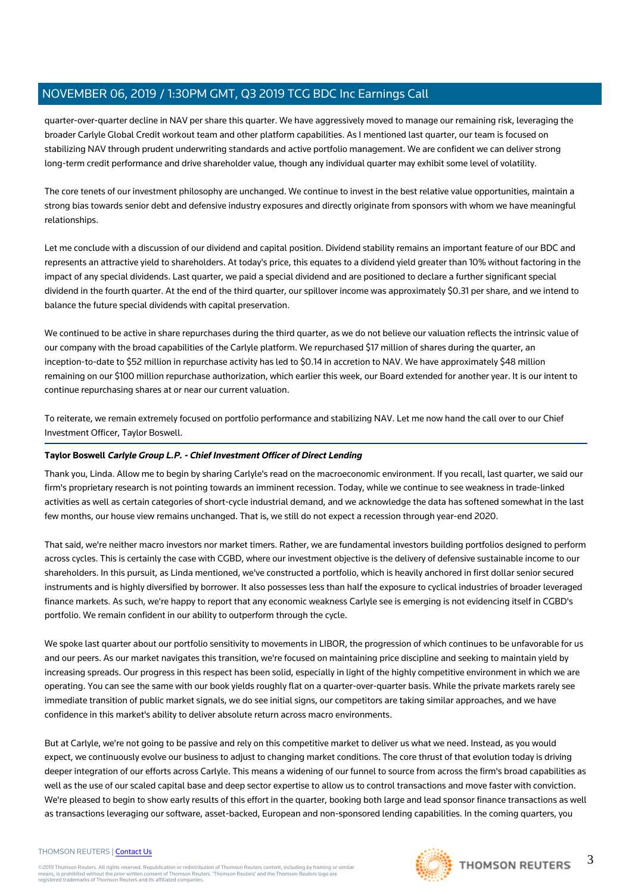quarter-over-quarter decline in NAV per share this quarter. We have aggressively moved to manage our remaining risk, leveraging the broader Carlyle Global Credit workout team and other platform capabilities. As I mentioned last quarter, our team is focused on stabilizing NAV through prudent underwriting standards and active portfolio management. We are confident we can deliver strong long-term credit performance and drive shareholder value, though any individual quarter may exhibit some level of volatility.

The core tenets of our investment philosophy are unchanged. We continue to invest in the best relative value opportunities, maintain a strong bias towards senior debt and defensive industry exposures and directly originate from sponsors with whom we have meaningful relationships.

Let me conclude with a discussion of our dividend and capital position. Dividend stability remains an important feature of our BDC and represents an attractive yield to shareholders. At today's price, this equates to a dividend yield greater than 10% without factoring in the impact of any special dividends. Last quarter, we paid a special dividend and are positioned to declare a further significant special dividend in the fourth quarter. At the end of the third quarter, our spillover income was approximately \$0.31 per share, and we intend to balance the future special dividends with capital preservation.

We continued to be active in share repurchases during the third quarter, as we do not believe our valuation reflects the intrinsic value of our company with the broad capabilities of the Carlyle platform. We repurchased \$17 million of shares during the quarter, an inception-to-date to \$52 million in repurchase activity has led to \$0.14 in accretion to NAV. We have approximately \$48 million remaining on our \$100 million repurchase authorization, which earlier this week, our Board extended for another year. It is our intent to continue repurchasing shares at or near our current valuation.

To reiterate, we remain extremely focused on portfolio performance and stabilizing NAV. Let me now hand the call over to our Chief Investment Officer, Taylor Boswell.

## **Taylor Boswell Carlyle Group L.P. - Chief Investment Officer of Direct Lending**

Thank you, Linda. Allow me to begin by sharing Carlyle's read on the macroeconomic environment. If you recall, last quarter, we said our firm's proprietary research is not pointing towards an imminent recession. Today, while we continue to see weakness in trade-linked activities as well as certain categories of short-cycle industrial demand, and we acknowledge the data has softened somewhat in the last few months, our house view remains unchanged. That is, we still do not expect a recession through year-end 2020.

That said, we're neither macro investors nor market timers. Rather, we are fundamental investors building portfolios designed to perform across cycles. This is certainly the case with CGBD, where our investment objective is the delivery of defensive sustainable income to our shareholders. In this pursuit, as Linda mentioned, we've constructed a portfolio, which is heavily anchored in first dollar senior secured instruments and is highly diversified by borrower. It also possesses less than half the exposure to cyclical industries of broader leveraged finance markets. As such, we're happy to report that any economic weakness Carlyle see is emerging is not evidencing itself in CGBD's portfolio. We remain confident in our ability to outperform through the cycle.

We spoke last quarter about our portfolio sensitivity to movements in LIBOR, the progression of which continues to be unfavorable for us and our peers. As our market navigates this transition, we're focused on maintaining price discipline and seeking to maintain yield by increasing spreads. Our progress in this respect has been solid, especially in light of the highly competitive environment in which we are operating. You can see the same with our book yields roughly flat on a quarter-over-quarter basis. While the private markets rarely see immediate transition of public market signals, we do see initial signs, our competitors are taking similar approaches, and we have confidence in this market's ability to deliver absolute return across macro environments.

But at Carlyle, we're not going to be passive and rely on this competitive market to deliver us what we need. Instead, as you would expect, we continuously evolve our business to adjust to changing market conditions. The core thrust of that evolution today is driving deeper integration of our efforts across Carlyle. This means a widening of our funnel to source from across the firm's broad capabilities as well as the use of our scaled capital base and deep sector expertise to allow us to control transactions and move faster with conviction. We're pleased to begin to show early results of this effort in the quarter, booking both large and lead sponsor finance transactions as well as transactions leveraging our software, asset-backed, European and non-sponsored lending capabilities. In the coming quarters, you

#### THOMSON REUTERS | [Contact Us](https://my.thomsonreuters.com/ContactUsNew)

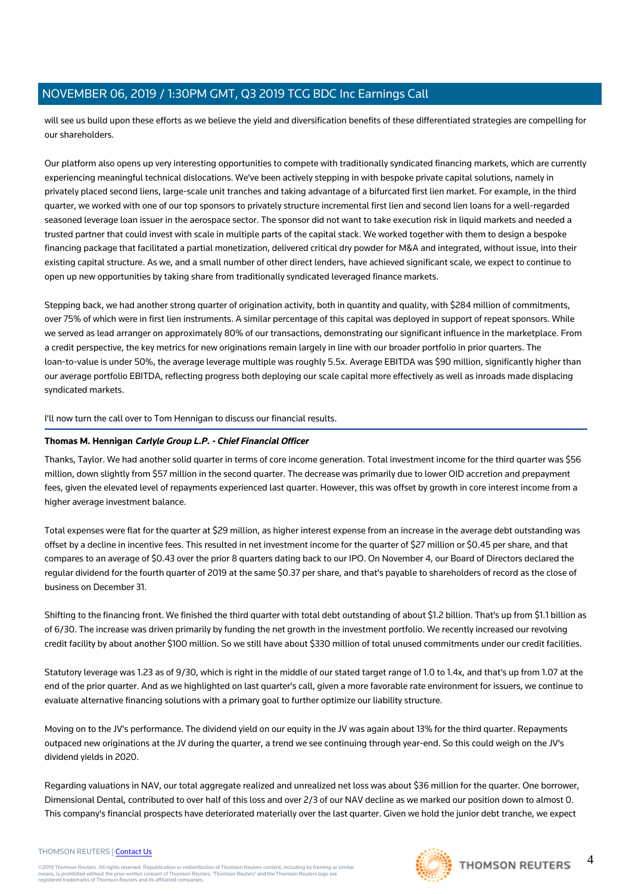will see us build upon these efforts as we believe the yield and diversification benefits of these differentiated strategies are compelling for our shareholders.

Our platform also opens up very interesting opportunities to compete with traditionally syndicated financing markets, which are currently experiencing meaningful technical dislocations. We've been actively stepping in with bespoke private capital solutions, namely in privately placed second liens, large-scale unit tranches and taking advantage of a bifurcated first lien market. For example, in the third quarter, we worked with one of our top sponsors to privately structure incremental first lien and second lien loans for a well-regarded seasoned leverage loan issuer in the aerospace sector. The sponsor did not want to take execution risk in liquid markets and needed a trusted partner that could invest with scale in multiple parts of the capital stack. We worked together with them to design a bespoke financing package that facilitated a partial monetization, delivered critical dry powder for M&A and integrated, without issue, into their existing capital structure. As we, and a small number of other direct lenders, have achieved significant scale, we expect to continue to open up new opportunities by taking share from traditionally syndicated leveraged finance markets.

Stepping back, we had another strong quarter of origination activity, both in quantity and quality, with \$284 million of commitments, over 75% of which were in first lien instruments. A similar percentage of this capital was deployed in support of repeat sponsors. While we served as lead arranger on approximately 80% of our transactions, demonstrating our significant influence in the marketplace. From a credit perspective, the key metrics for new originations remain largely in line with our broader portfolio in prior quarters. The loan-to-value is under 50%, the average leverage multiple was roughly 5.5x. Average EBITDA was \$90 million, significantly higher than our average portfolio EBITDA, reflecting progress both deploying our scale capital more effectively as well as inroads made displacing syndicated markets.

I'll now turn the call over to Tom Hennigan to discuss our financial results.

## **Thomas M. Hennigan Carlyle Group L.P. - Chief Financial Officer**

Thanks, Taylor. We had another solid quarter in terms of core income generation. Total investment income for the third quarter was \$56 million, down slightly from \$57 million in the second quarter. The decrease was primarily due to lower OID accretion and prepayment fees, given the elevated level of repayments experienced last quarter. However, this was offset by growth in core interest income from a higher average investment balance.

Total expenses were flat for the quarter at \$29 million, as higher interest expense from an increase in the average debt outstanding was offset by a decline in incentive fees. This resulted in net investment income for the quarter of \$27 million or \$0.45 per share, and that compares to an average of \$0.43 over the prior 8 quarters dating back to our IPO. On November 4, our Board of Directors declared the regular dividend for the fourth quarter of 2019 at the same \$0.37 per share, and that's payable to shareholders of record as the close of business on December 31.

Shifting to the financing front. We finished the third quarter with total debt outstanding of about \$1.2 billion. That's up from \$1.1 billion as of 6/30. The increase was driven primarily by funding the net growth in the investment portfolio. We recently increased our revolving credit facility by about another \$100 million. So we still have about \$330 million of total unused commitments under our credit facilities.

Statutory leverage was 1.23 as of 9/30, which is right in the middle of our stated target range of 1.0 to 1.4x, and that's up from 1.07 at the end of the prior quarter. And as we highlighted on last quarter's call, given a more favorable rate environment for issuers, we continue to evaluate alternative financing solutions with a primary goal to further optimize our liability structure.

Moving on to the JV's performance. The dividend yield on our equity in the JV was again about 13% for the third quarter. Repayments outpaced new originations at the JV during the quarter, a trend we see continuing through year-end. So this could weigh on the JV's dividend yields in 2020.

Regarding valuations in NAV, our total aggregate realized and unrealized net loss was about \$36 million for the quarter. One borrower, Dimensional Dental, contributed to over half of this loss and over 2/3 of our NAV decline as we marked our position down to almost 0. This company's financial prospects have deteriorated materially over the last quarter. Given we hold the junior debt tranche, we expect

#### THOMSON REUTERS | [Contact Us](https://my.thomsonreuters.com/ContactUsNew)

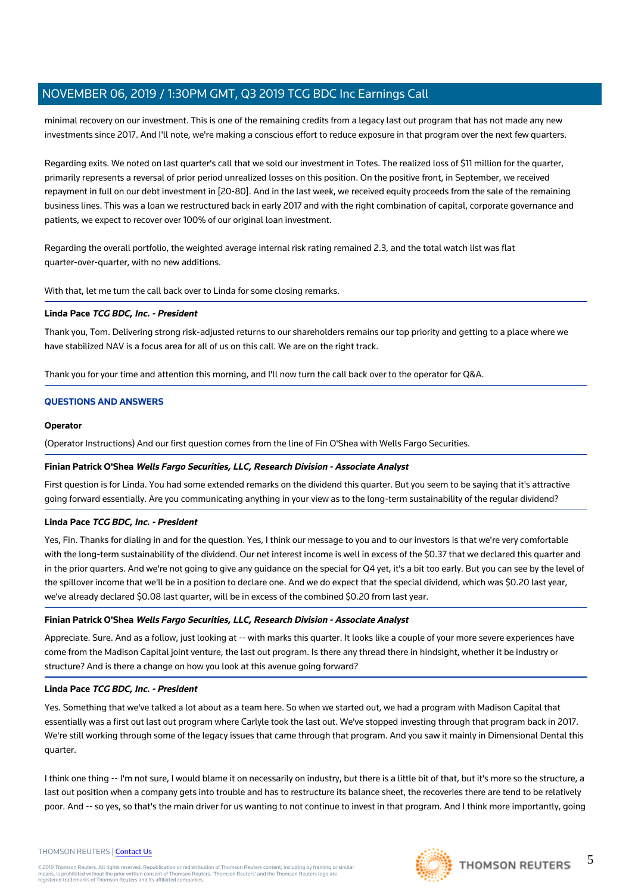minimal recovery on our investment. This is one of the remaining credits from a legacy last out program that has not made any new investments since 2017. And I'll note, we're making a conscious effort to reduce exposure in that program over the next few quarters.

Regarding exits. We noted on last quarter's call that we sold our investment in Totes. The realized loss of \$11 million for the quarter, primarily represents a reversal of prior period unrealized losses on this position. On the positive front, in September, we received repayment in full on our debt investment in [20-80]. And in the last week, we received equity proceeds from the sale of the remaining business lines. This was a loan we restructured back in early 2017 and with the right combination of capital, corporate governance and patients, we expect to recover over 100% of our original loan investment.

Regarding the overall portfolio, the weighted average internal risk rating remained 2.3, and the total watch list was flat quarter-over-quarter, with no new additions.

With that, let me turn the call back over to Linda for some closing remarks.

#### **Linda Pace TCG BDC, Inc. - President**

Thank you, Tom. Delivering strong risk-adjusted returns to our shareholders remains our top priority and getting to a place where we have stabilized NAV is a focus area for all of us on this call. We are on the right track.

Thank you for your time and attention this morning, and I'll now turn the call back over to the operator for Q&A.

#### **QUESTIONS AND ANSWERS**

#### **Operator**

(Operator Instructions) And our first question comes from the line of Fin O'Shea with Wells Fargo Securities.

#### **Finian Patrick O'Shea Wells Fargo Securities, LLC, Research Division - Associate Analyst**

First question is for Linda. You had some extended remarks on the dividend this quarter. But you seem to be saying that it's attractive going forward essentially. Are you communicating anything in your view as to the long-term sustainability of the regular dividend?

#### **Linda Pace TCG BDC, Inc. - President**

Yes, Fin. Thanks for dialing in and for the question. Yes, I think our message to you and to our investors is that we're very comfortable with the long-term sustainability of the dividend. Our net interest income is well in excess of the \$0.37 that we declared this quarter and in the prior quarters. And we're not going to give any guidance on the special for Q4 yet, it's a bit too early. But you can see by the level of the spillover income that we'll be in a position to declare one. And we do expect that the special dividend, which was \$0.20 last year, we've already declared \$0.08 last quarter, will be in excess of the combined \$0.20 from last year.

#### **Finian Patrick O'Shea Wells Fargo Securities, LLC, Research Division - Associate Analyst**

Appreciate. Sure. And as a follow, just looking at -- with marks this quarter. It looks like a couple of your more severe experiences have come from the Madison Capital joint venture, the last out program. Is there any thread there in hindsight, whether it be industry or structure? And is there a change on how you look at this avenue going forward?

#### **Linda Pace TCG BDC, Inc. - President**

Yes. Something that we've talked a lot about as a team here. So when we started out, we had a program with Madison Capital that essentially was a first out last out program where Carlyle took the last out. We've stopped investing through that program back in 2017. We're still working through some of the legacy issues that came through that program. And you saw it mainly in Dimensional Dental this quarter.

I think one thing -- I'm not sure, I would blame it on necessarily on industry, but there is a little bit of that, but it's more so the structure, a last out position when a company gets into trouble and has to restructure its balance sheet, the recoveries there are tend to be relatively poor. And -- so yes, so that's the main driver for us wanting to not continue to invest in that program. And I think more importantly, going

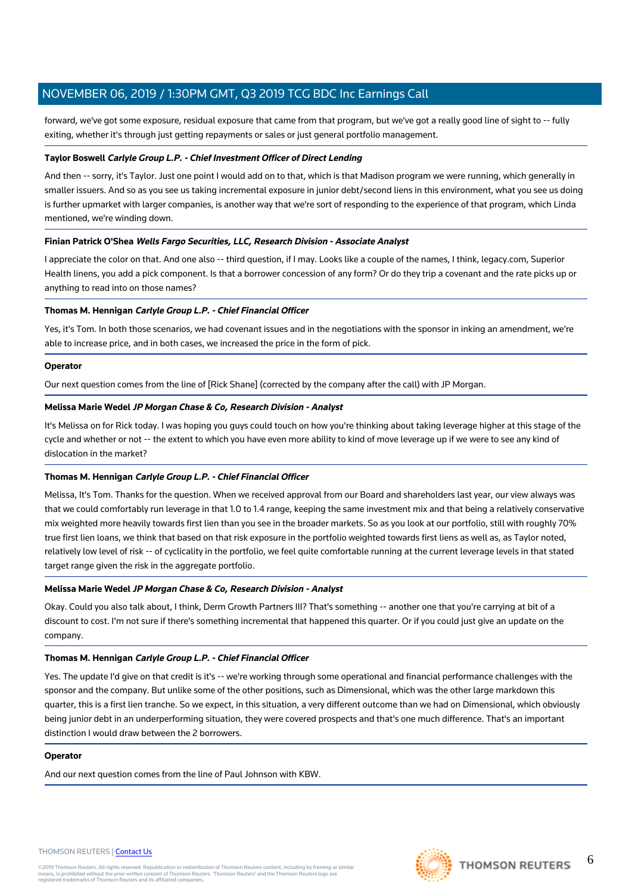forward, we've got some exposure, residual exposure that came from that program, but we've got a really good line of sight to -- fully exiting, whether it's through just getting repayments or sales or just general portfolio management.

#### **Taylor Boswell Carlyle Group L.P. - Chief Investment Officer of Direct Lending**

And then -- sorry, it's Taylor. Just one point I would add on to that, which is that Madison program we were running, which generally in smaller issuers. And so as you see us taking incremental exposure in junior debt/second liens in this environment, what you see us doing is further upmarket with larger companies, is another way that we're sort of responding to the experience of that program, which Linda mentioned, we're winding down.

#### **Finian Patrick O'Shea Wells Fargo Securities, LLC, Research Division - Associate Analyst**

I appreciate the color on that. And one also -- third question, if I may. Looks like a couple of the names, I think, legacy.com, Superior Health linens, you add a pick component. Is that a borrower concession of any form? Or do they trip a covenant and the rate picks up or anything to read into on those names?

#### **Thomas M. Hennigan Carlyle Group L.P. - Chief Financial Officer**

Yes, it's Tom. In both those scenarios, we had covenant issues and in the negotiations with the sponsor in inking an amendment, we're able to increase price, and in both cases, we increased the price in the form of pick.

#### **Operator**

Our next question comes from the line of [Rick Shane] (corrected by the company after the call) with JP Morgan.

#### **Melissa Marie Wedel JP Morgan Chase & Co, Research Division - Analyst**

It's Melissa on for Rick today. I was hoping you guys could touch on how you're thinking about taking leverage higher at this stage of the cycle and whether or not -- the extent to which you have even more ability to kind of move leverage up if we were to see any kind of dislocation in the market?

#### **Thomas M. Hennigan Carlyle Group L.P. - Chief Financial Officer**

Melissa, It's Tom. Thanks for the question. When we received approval from our Board and shareholders last year, our view always was that we could comfortably run leverage in that 1.0 to 1.4 range, keeping the same investment mix and that being a relatively conservative mix weighted more heavily towards first lien than you see in the broader markets. So as you look at our portfolio, still with roughly 70% true first lien loans, we think that based on that risk exposure in the portfolio weighted towards first liens as well as, as Taylor noted, relatively low level of risk -- of cyclicality in the portfolio, we feel quite comfortable running at the current leverage levels in that stated target range given the risk in the aggregate portfolio.

#### **Melissa Marie Wedel JP Morgan Chase & Co, Research Division - Analyst**

Okay. Could you also talk about, I think, Derm Growth Partners III? That's something -- another one that you're carrying at bit of a discount to cost. I'm not sure if there's something incremental that happened this quarter. Or if you could just give an update on the company.

#### **Thomas M. Hennigan Carlyle Group L.P. - Chief Financial Officer**

Yes. The update I'd give on that credit is it's -- we're working through some operational and financial performance challenges with the sponsor and the company. But unlike some of the other positions, such as Dimensional, which was the other large markdown this quarter, this is a first lien tranche. So we expect, in this situation, a very different outcome than we had on Dimensional, which obviously being junior debt in an underperforming situation, they were covered prospects and that's one much difference. That's an important distinction I would draw between the 2 borrowers.

#### **Operator**

And our next question comes from the line of Paul Johnson with KBW.

#### THOMSON REUTERS | [Contact Us](https://my.thomsonreuters.com/ContactUsNew)

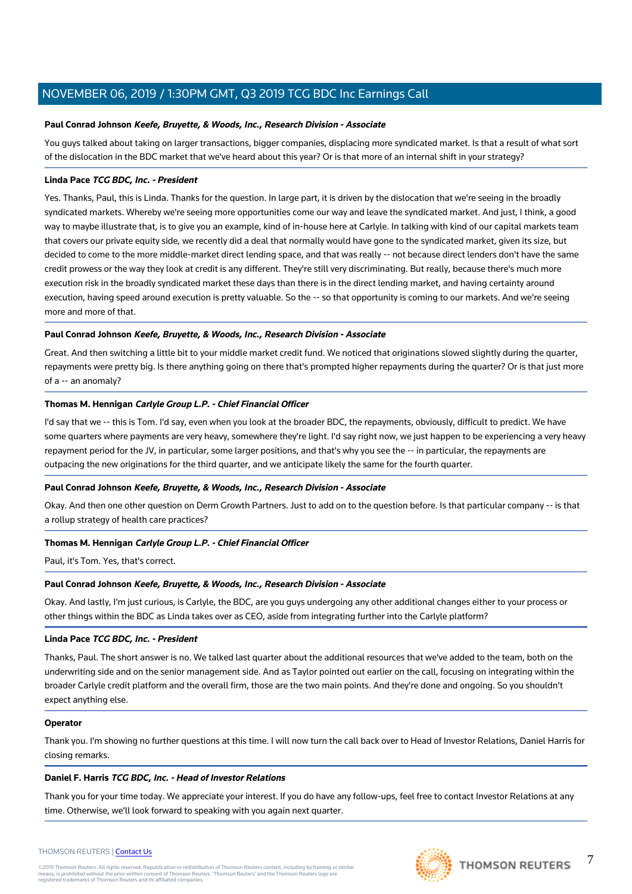#### **Paul Conrad Johnson Keefe, Bruyette, & Woods, Inc., Research Division - Associate**

You guys talked about taking on larger transactions, bigger companies, displacing more syndicated market. Is that a result of what sort of the dislocation in the BDC market that we've heard about this year? Or is that more of an internal shift in your strategy?

#### **Linda Pace TCG BDC, Inc. - President**

Yes. Thanks, Paul, this is Linda. Thanks for the question. In large part, it is driven by the dislocation that we're seeing in the broadly syndicated markets. Whereby we're seeing more opportunities come our way and leave the syndicated market. And just, I think, a good way to maybe illustrate that, is to give you an example, kind of in-house here at Carlyle. In talking with kind of our capital markets team that covers our private equity side, we recently did a deal that normally would have gone to the syndicated market, given its size, but decided to come to the more middle-market direct lending space, and that was really -- not because direct lenders don't have the same credit prowess or the way they look at credit is any different. They're still very discriminating. But really, because there's much more execution risk in the broadly syndicated market these days than there is in the direct lending market, and having certainty around execution, having speed around execution is pretty valuable. So the -- so that opportunity is coming to our markets. And we're seeing more and more of that.

#### **Paul Conrad Johnson Keefe, Bruyette, & Woods, Inc., Research Division - Associate**

Great. And then switching a little bit to your middle market credit fund. We noticed that originations slowed slightly during the quarter, repayments were pretty big. Is there anything going on there that's prompted higher repayments during the quarter? Or is that just more of a -- an anomaly?

#### **Thomas M. Hennigan Carlyle Group L.P. - Chief Financial Officer**

I'd say that we -- this is Tom. I'd say, even when you look at the broader BDC, the repayments, obviously, difficult to predict. We have some quarters where payments are very heavy, somewhere they're light. I'd say right now, we just happen to be experiencing a very heavy repayment period for the JV, in particular, some larger positions, and that's why you see the -- in particular, the repayments are outpacing the new originations for the third quarter, and we anticipate likely the same for the fourth quarter.

#### **Paul Conrad Johnson Keefe, Bruyette, & Woods, Inc., Research Division - Associate**

Okay. And then one other question on Derm Growth Partners. Just to add on to the question before. Is that particular company -- is that a rollup strategy of health care practices?

#### **Thomas M. Hennigan Carlyle Group L.P. - Chief Financial Officer**

Paul, it's Tom. Yes, that's correct.

## **Paul Conrad Johnson Keefe, Bruyette, & Woods, Inc., Research Division - Associate**

Okay. And lastly, I'm just curious, is Carlyle, the BDC, are you guys undergoing any other additional changes either to your process or other things within the BDC as Linda takes over as CEO, aside from integrating further into the Carlyle platform?

#### **Linda Pace TCG BDC, Inc. - President**

Thanks, Paul. The short answer is no. We talked last quarter about the additional resources that we've added to the team, both on the underwriting side and on the senior management side. And as Taylor pointed out earlier on the call, focusing on integrating within the broader Carlyle credit platform and the overall firm, those are the two main points. And they're done and ongoing. So you shouldn't expect anything else.

#### **Operator**

Thank you. I'm showing no further questions at this time. I will now turn the call back over to Head of Investor Relations, Daniel Harris for closing remarks.

## **Daniel F. Harris TCG BDC, Inc. - Head of Investor Relations**

Thank you for your time today. We appreciate your interest. If you do have any follow-ups, feel free to contact Investor Relations at any time. Otherwise, we'll look forward to speaking with you again next quarter.

#### THOMSON REUTERS | [Contact Us](https://my.thomsonreuters.com/ContactUsNew)